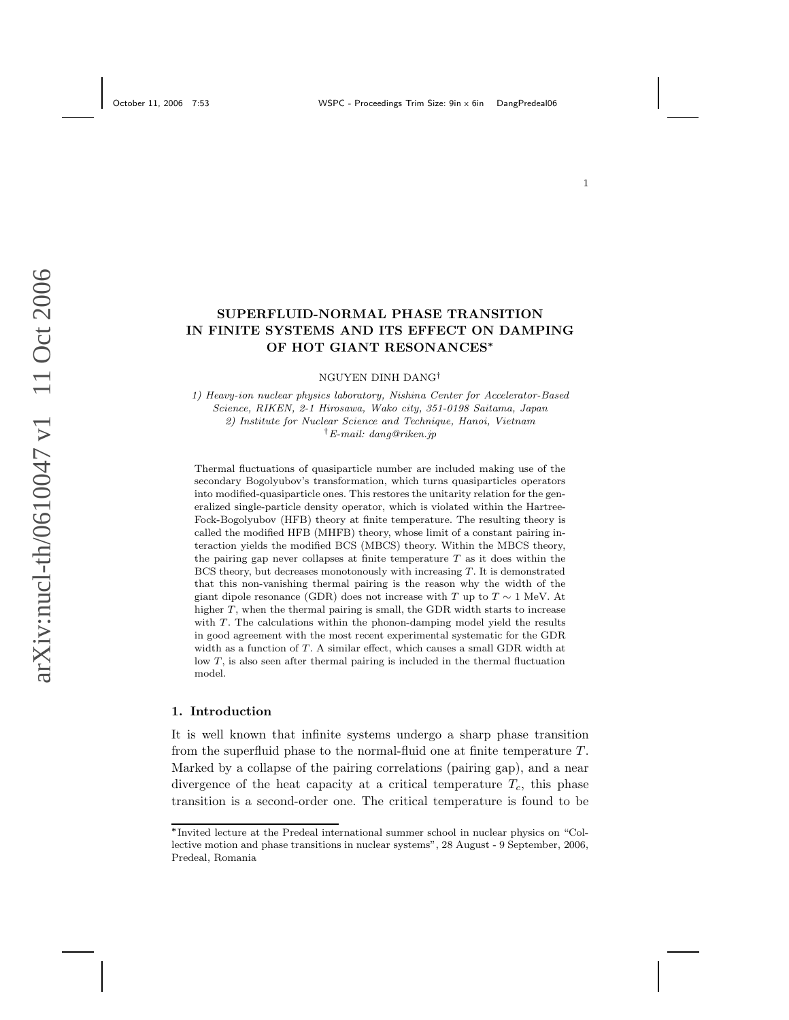# SUPERFLUID-NORMAL PHASE TRANSITION IN FINITE SYSTEMS AND ITS EFFECT ON DAMPING OF HOT GIANT RESONANCES<sup>∗</sup>

NGUYEN DINH DANG†

1) Heavy-ion nuclear physics laboratory, Nishina Center for Accelerator-Based Science, RIKEN, 2-1 Hirosawa, Wako city, 351-0198 Saitama, Japan 2) Institute for Nuclear Science and Technique, Hanoi, Vietnam †E-mail: dang@riken.jp

Thermal fluctuations of quasiparticle number are included making use of the secondary Bogolyubov's transformation, which turns quasiparticles operators into modified-quasiparticle ones. This restores the unitarity relation for the generalized single-particle density operator, which is violated within the Hartree-Fock-Bogolyubov (HFB) theory at finite temperature. The resulting theory is called the modified HFB (MHFB) theory, whose limit of a constant pairing interaction yields the modified BCS (MBCS) theory. Within the MBCS theory, the pairing gap never collapses at finite temperature  $T$  as it does within the BCS theory, but decreases monotonously with increasing  $T$ . It is demonstrated that this non-vanishing thermal pairing is the reason why the width of the giant dipole resonance (GDR) does not increase with T up to  $T \sim 1$  MeV. At higher T, when the thermal pairing is small, the GDR width starts to increase with  $T$ . The calculations within the phonon-damping model yield the results in good agreement with the most recent experimental systematic for the GDR width as a function of T. A similar effect, which causes a small GDR width at low T, is also seen after thermal pairing is included in the thermal fluctuation model.

### 1. Introduction

It is well known that infinite systems undergo a sharp phase transition from the superfluid phase to the normal-fluid one at finite temperature T . Marked by a collapse of the pairing correlations (pairing gap), and a near divergence of the heat capacity at a critical temperature  $T_c$ , this phase transition is a second-order one. The critical temperature is found to be

<sup>∗</sup>Invited lecture at the Predeal international summer school in nuclear physics on "Collective motion and phase transitions in nuclear systems", 28 August - 9 September, 2006, Predeal, Romania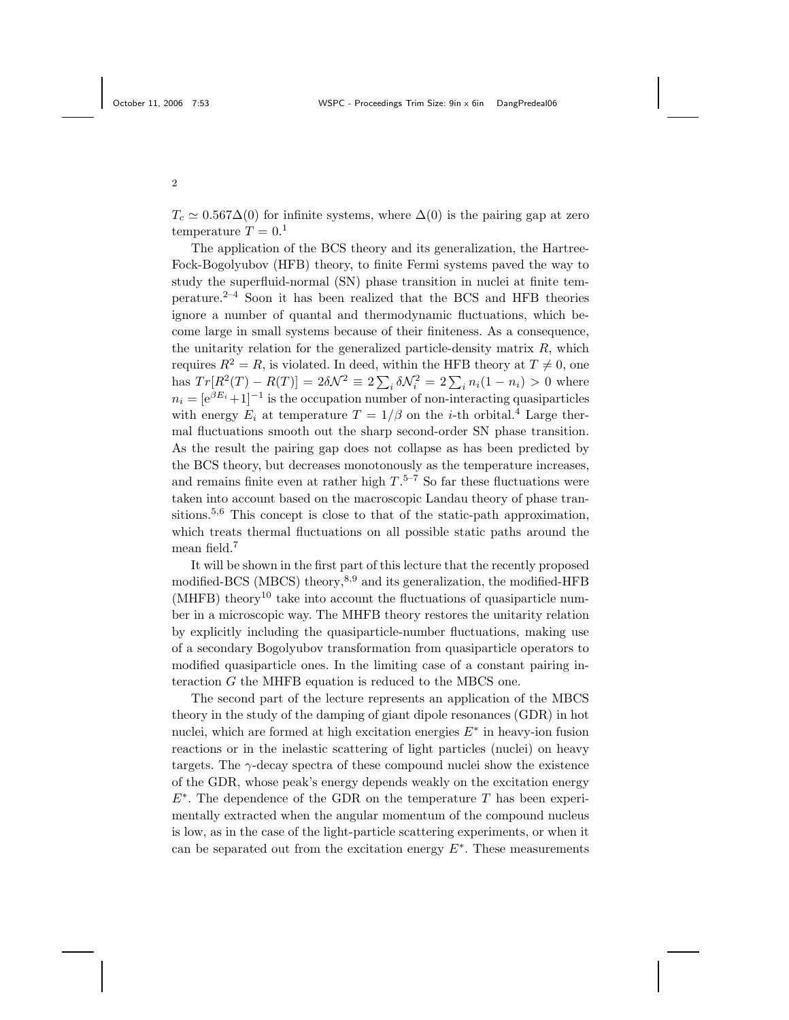$T_c \simeq 0.567\Delta(0)$  for infinite systems, where  $\Delta(0)$  is the pairing gap at zero temperature  $T = 0.1$ 

The application of the BCS theory and its generalization, the Hartree-Fock-Bogolyubov (HFB) theory, to finite Fermi systems paved the way to study the superfluid-normal (SN) phase transition in nuclei at finite temperature.2–4 Soon it has been realized that the BCS and HFB theories ignore a number of quantal and thermodynamic fluctuations, which become large in small systems because of their finiteness. As a consequence, the unitarity relation for the generalized particle-density matrix  $R$ , which requires  $R^2 = R$ , is violated. In deed, within the HFB theory at  $T \neq 0$ , one has  $Tr[R^2(T) - R(T)] = 2\delta\mathcal{N}^2 \equiv 2\sum_i \delta\mathcal{N}_i^2 = 2\sum_i n_i(1 - n_i) > 0$  where  $n_i = [e^{\beta E_i} + 1]^{-1}$  is the occupation number of non-interacting quasiparticles with energy  $E_i$  at temperature  $T = 1/\beta$  on the *i*-th orbital.<sup>4</sup> Large thermal fluctuations smooth out the sharp second-order SN phase transition. As the result the pairing gap does not collapse as has been predicted by the BCS theory, but decreases monotonously as the temperature increases, and remains finite even at rather high  $T$ .<sup>5-7</sup> So far these fluctuations were taken into account based on the macroscopic Landau theory of phase transitions.<sup>5,6</sup> This concept is close to that of the static-path approximation, which treats thermal fluctuations on all possible static paths around the mean field.<sup>7</sup>

It will be shown in the first part of this lecture that the recently proposed modified-BCS (MBCS) theory,8,9 and its generalization, the modified-HFB  $(MHFB)$  theory<sup>10</sup> take into account the fluctuations of quasiparticle number in a microscopic way. The MHFB theory restores the unitarity relation by explicitly including the quasiparticle-number fluctuations, making use of a secondary Bogolyubov transformation from quasiparticle operators to modified quasiparticle ones. In the limiting case of a constant pairing interaction  $G$  the MHFB equation is reduced to the MBCS one.

The second part of the lecture represents an application of the MBCS theory in the study of the damping of giant dipole resonances (GDR) in hot nuclei, which are formed at high excitation energies  $E^*$  in heavy-ion fusion reactions or in the inelastic scattering of light particles (nuclei) on heavy targets. The  $\gamma$ -decay spectra of these compound nuclei show the existence of the GDR, whose peak's energy depends weakly on the excitation energy  $E^*$ . The dependence of the GDR on the temperature T has been experimentally extracted when the angular momentum of the compound nucleus is low, as in the case of the light-particle scattering experiments, or when it can be separated out from the excitation energy  $E^*$ . These measurements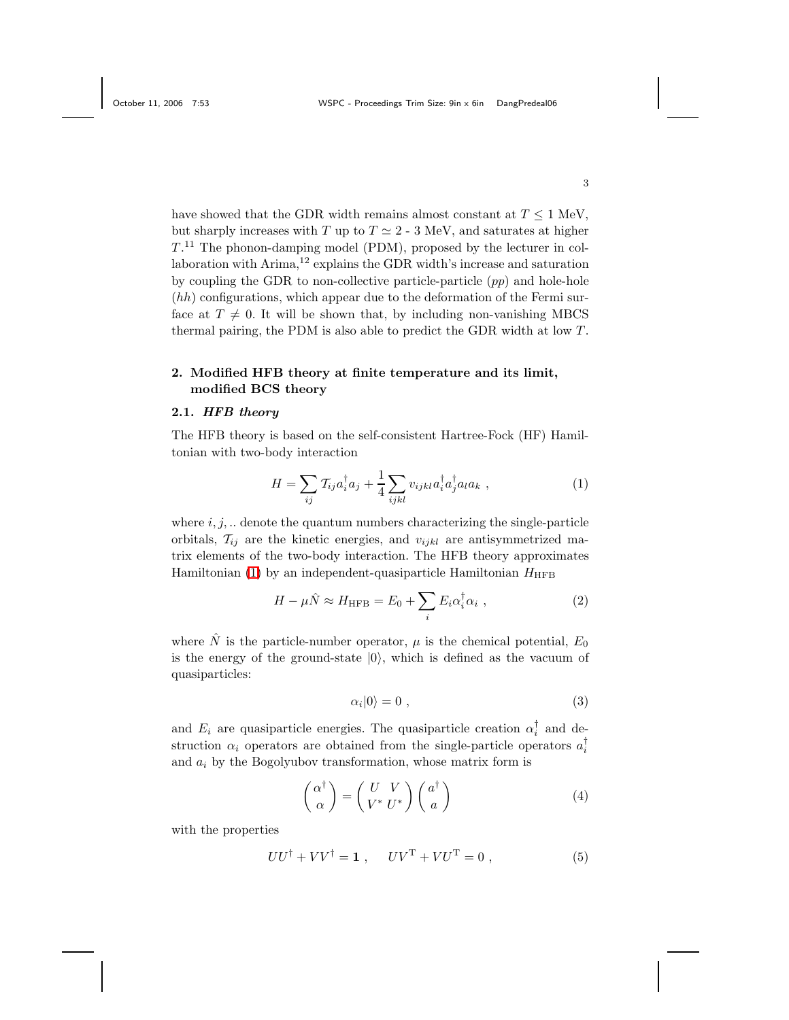have showed that the GDR width remains almost constant at  $T \leq 1$  MeV, but sharply increases with T up to  $T \simeq 2 - 3$  MeV, and saturates at higher  $T<sup>11</sup>$  The phonon-damping model (PDM), proposed by the lecturer in collaboration with Arima,<sup>12</sup> explains the GDR width's increase and saturation by coupling the GDR to non-collective particle-particle  $(pp)$  and hole-hole  $(hh)$  configurations, which appear due to the deformation of the Fermi surface at  $T \neq 0$ . It will be shown that, by including non-vanishing MBCS thermal pairing, the PDM is also able to predict the GDR width at low T .

# 2. Modified HFB theory at finite temperature and its limit, modified BCS theory

### 2.1. HFB theory

The HFB theory is based on the self-consistent Hartree-Fock (HF) Hamiltonian with two-body interaction

<span id="page-2-0"></span>
$$
H = \sum_{ij} T_{ij} a_i^{\dagger} a_j + \frac{1}{4} \sum_{ijkl} v_{ijkl} a_i^{\dagger} a_j^{\dagger} a_l a_k , \qquad (1)
$$

where  $i, j, \ldots$  denote the quantum numbers characterizing the single-particle orbitals,  $\mathcal{T}_{ij}$  are the kinetic energies, and  $v_{ijkl}$  are antisymmetrized matrix elements of the two-body interaction. The HFB theory approximates Hamiltonian [\(1\)](#page-2-0) by an independent-quasiparticle Hamiltonian  $H_{\text{HFB}}$ 

$$
H - \mu \hat{N} \approx H_{\rm HFB} = E_0 + \sum_i E_i \alpha_i^{\dagger} \alpha_i , \qquad (2)
$$

<span id="page-2-3"></span>where  $\hat{N}$  is the particle-number operator,  $\mu$  is the chemical potential,  $E_0$ is the energy of the ground-state  $|0\rangle$ , which is defined as the vacuum of quasiparticles:

<span id="page-2-2"></span><span id="page-2-1"></span>
$$
\alpha_i|0\rangle = 0 \t\t(3)
$$

and  $E_i$  are quasiparticle energies. The quasiparticle creation  $\alpha_i^{\dagger}$  and destruction  $\alpha_i$  operators are obtained from the single-particle operators  $a_i^{\dagger}$ and  $a_i$  by the Bogolyubov transformation, whose matrix form is

$$
\begin{pmatrix} \alpha^{\dagger} \\ \alpha \end{pmatrix} = \begin{pmatrix} U & V \\ V^* & U^* \end{pmatrix} \begin{pmatrix} a^{\dagger} \\ a \end{pmatrix}
$$
 (4)

<span id="page-2-4"></span>with the properties

$$
UU^{\dagger} + VV^{\dagger} = \mathbf{1} , \quad UV^{\mathrm{T}} + VU^{\mathrm{T}} = 0 , \qquad (5)
$$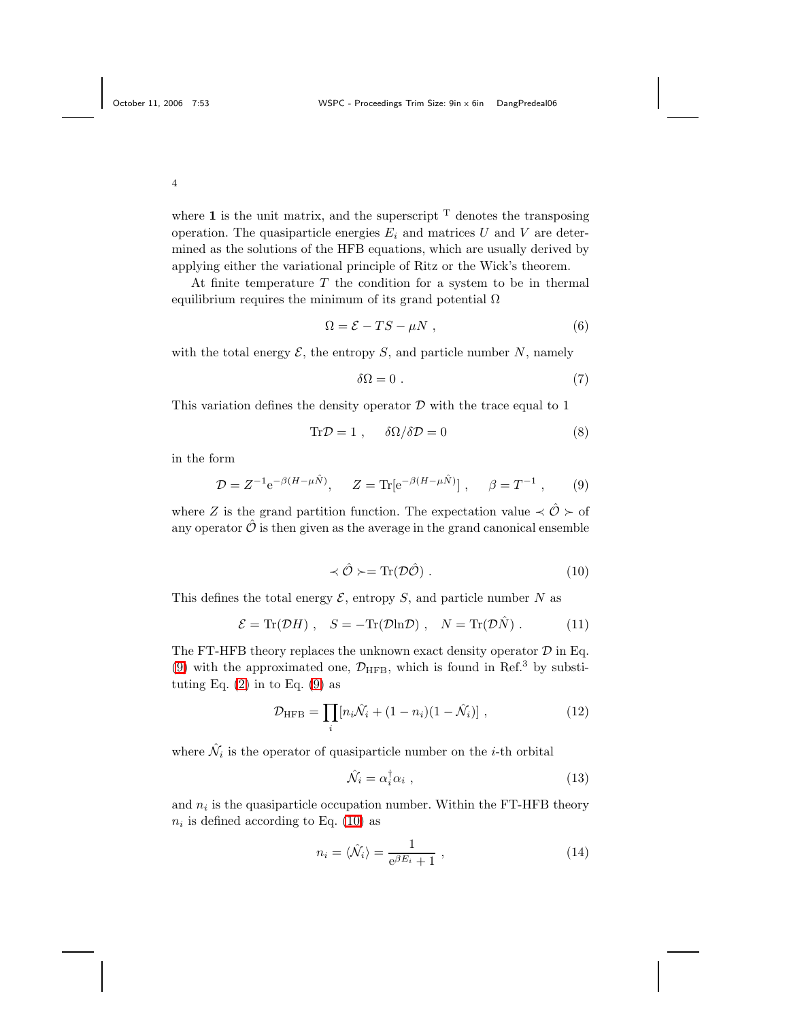where 1 is the unit matrix, and the superscript  $T$  denotes the transposing operation. The quasiparticle energies  $E_i$  and matrices U and V are determined as the solutions of the HFB equations, which are usually derived by applying either the variational principle of Ritz or the Wick's theorem.

At finite temperature  $T$  the condition for a system to be in thermal equilibrium requires the minimum of its grand potential  $\Omega$ 

<span id="page-3-5"></span>
$$
\Omega = \mathcal{E} - TS - \mu N \t{,} \t(6)
$$

with the total energy  $\mathcal{E}$ , the entropy  $S$ , and particle number  $N$ , namely

<span id="page-3-3"></span>
$$
\delta\Omega = 0. \tag{7}
$$

This variation defines the density operator  $\mathcal D$  with the trace equal to 1

$$
\text{Tr}\mathcal{D} = 1 \;, \quad \delta\Omega/\delta\mathcal{D} = 0 \tag{8}
$$

<span id="page-3-0"></span>in the form

$$
\mathcal{D} = Z^{-1} e^{-\beta (H - \mu \hat{N})}, \quad Z = \text{Tr} [e^{-\beta (H - \mu \hat{N})}], \quad \beta = T^{-1}, \quad (9)
$$

<span id="page-3-1"></span>where Z is the grand partition function. The expectation value  $\prec \hat{O} \succ o f$ any operator  $\hat{\mathcal{O}}$  is then given as the average in the grand canonical ensemble

<span id="page-3-4"></span>
$$
\prec \hat{\mathcal{O}} \succ = \text{Tr}(\mathcal{D}\hat{\mathcal{O}}) \ . \tag{10}
$$

This defines the total energy  $\mathcal{E}$ , entropy S, and particle number N as

<span id="page-3-2"></span>
$$
\mathcal{E} = \text{Tr}(\mathcal{D}H) , \quad S = -\text{Tr}(\mathcal{D}\ln\mathcal{D}) , \quad N = \text{Tr}(\mathcal{D}\hat{N}) . \tag{11}
$$

The FT-HFB theory replaces the unknown exact density operator  $D$  in Eq. [\(9\)](#page-3-0) with the approximated one,  $\mathcal{D}_{\text{HFB}}$ , which is found in Ref.<sup>3</sup> by substituting Eq.  $(2)$  in to Eq.  $(9)$  as

$$
\mathcal{D}_{\text{HFB}} = \prod_{i} [n_i \hat{\mathcal{N}}_i + (1 - n_i)(1 - \hat{\mathcal{N}}_i)], \qquad (12)
$$

where  $\hat{\mathcal{N}}_i$  is the operator of quasiparticle number on the *i*-th orbital

$$
\hat{\mathcal{N}}_i = \alpha_i^{\dagger} \alpha_i \tag{13}
$$

and  $n_i$  is the quasiparticle occupation number. Within the FT-HFB theory  $n_i$  is defined according to Eq. [\(10\)](#page-3-1) as

<span id="page-3-6"></span>
$$
n_i = \langle \hat{\mathcal{N}}_i \rangle = \frac{1}{e^{\beta E_i} + 1} \,, \tag{14}
$$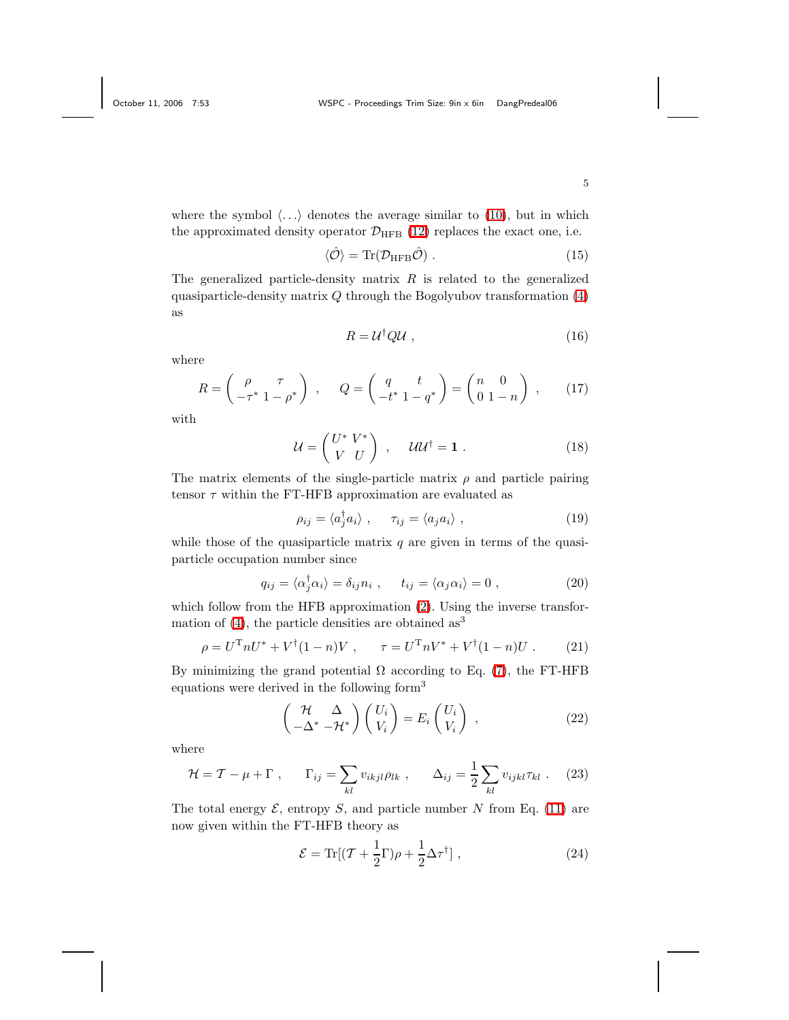where the symbol  $\langle \ldots \rangle$  denotes the average similar to [\(10\)](#page-3-1), but in which the approximated density operator  $\mathcal{D}_{\text{HFB}}$  [\(12\)](#page-3-2) replaces the exact one, i.e.

<span id="page-4-0"></span>
$$
\langle \hat{\mathcal{O}} \rangle = \text{Tr}(\mathcal{D}_{\text{HFB}} \hat{\mathcal{O}}) \tag{15}
$$

<span id="page-4-2"></span>The generalized particle-density matrix  $R$  is related to the generalized quasiparticle-density matrix  $Q$  through the Bogolyubov transformation  $(4)$ as

$$
R = \mathcal{U}^{\dagger} \mathcal{Q} \mathcal{U} \tag{16}
$$

<span id="page-4-1"></span>where

$$
R = \begin{pmatrix} \rho & \tau \\ -\tau^* & 1 - \rho^* \end{pmatrix} , \qquad Q = \begin{pmatrix} q & t \\ -t^* & 1 - q^* \end{pmatrix} = \begin{pmatrix} n & 0 \\ 0 & 1 - n \end{pmatrix} , \qquad (17)
$$

<span id="page-4-3"></span>with

$$
\mathcal{U} = \begin{pmatrix} U^* \ V^* \\ V \ U \end{pmatrix} \ , \quad \mathcal{U}\mathcal{U}^{\dagger} = \mathbf{1} \ . \tag{18}
$$

The matrix elements of the single-particle matrix  $\rho$  and particle pairing tensor  $\tau$  within the FT-HFB approximation are evaluated as

<span id="page-4-6"></span><span id="page-4-5"></span><span id="page-4-4"></span>
$$
\rho_{ij} = \langle a_j^{\dagger} a_i \rangle \ , \quad \tau_{ij} = \langle a_j a_i \rangle \ , \tag{19}
$$

while those of the quasiparticle matrix  $q$  are given in terms of the quasiparticle occupation number since

$$
q_{ij} = \langle \alpha_j^{\dagger} \alpha_i \rangle = \delta_{ij} n_i , \qquad t_{ij} = \langle \alpha_j \alpha_i \rangle = 0 , \qquad (20)
$$

which follow from the HFB approximation  $(2)$ . Using the inverse transformation of  $(4)$ , the particle densities are obtained as<sup>3</sup>

$$
\rho = U^{\mathrm{T}} n U^* + V^{\dagger} (1 - n) V , \qquad \tau = U^{\mathrm{T}} n V^* + V^{\dagger} (1 - n) U . \tag{21}
$$

By minimizing the grand potential  $\Omega$  according to Eq. [\(7\)](#page-3-3), the FT-HFB equations were derived in the following form<sup>3</sup>

<span id="page-4-7"></span>
$$
\begin{pmatrix} \mathcal{H} & \Delta \\ -\Delta^* & -\mathcal{H}^* \end{pmatrix} \begin{pmatrix} U_i \\ V_i \end{pmatrix} = E_i \begin{pmatrix} U_i \\ V_i \end{pmatrix} , \qquad (22)
$$

where

$$
\mathcal{H} = \mathcal{T} - \mu + \Gamma \;, \qquad \Gamma_{ij} = \sum_{kl} v_{ikjl} \rho_{lk} \;, \qquad \Delta_{ij} = \frac{1}{2} \sum_{kl} v_{ijkl} \tau_{kl} \;. \tag{23}
$$

The total energy  $\mathcal{E}$ , entropy  $S$ , and particle number N from Eq. [\(11\)](#page-3-4) are now given within the FT-HFB theory as

$$
\mathcal{E} = \text{Tr}[(\mathcal{T} + \frac{1}{2}\Gamma)\rho + \frac{1}{2}\Delta\tau^{\dagger}], \qquad (24)
$$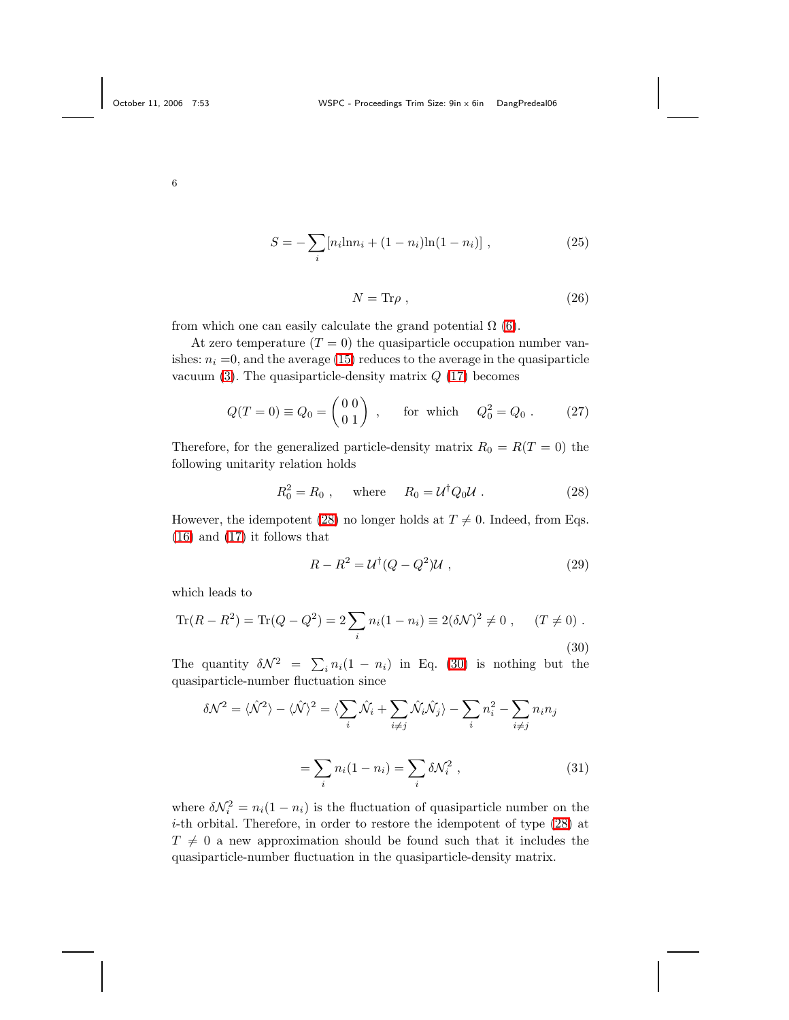$$
S = -\sum_{i} [n_i \ln n_i + (1 - n_i) \ln (1 - n_i)], \qquad (25)
$$

<span id="page-5-3"></span>
$$
N = \text{Tr}\rho \;, \tag{26}
$$

<span id="page-5-4"></span>from which one can easily calculate the grand potential  $\Omega$  [\(6\)](#page-3-5).

At zero temperature  $(T = 0)$  the quasiparticle occupation number vanishes:  $n_i = 0$ , and the average [\(15\)](#page-4-0) reduces to the average in the quasiparticle vacuum  $(3)$ . The quasiparticle-density matrix  $Q(17)$  $Q(17)$  becomes

$$
Q(T = 0) \equiv Q_0 = \begin{pmatrix} 0 & 0 \\ 0 & 1 \end{pmatrix}
$$
, for which  $Q_0^2 = Q_0$ . (27)

Therefore, for the generalized particle-density matrix  $R_0 = R(T = 0)$  the following unitarity relation holds

<span id="page-5-0"></span>
$$
R_0^2 = R_0 , \quad \text{where} \quad R_0 = \mathcal{U}^\dagger Q_0 \mathcal{U} . \tag{28}
$$

However, the idempotent [\(28\)](#page-5-0) no longer holds at  $T \neq 0$ . Indeed, from Eqs. [\(16\)](#page-4-2) and [\(17\)](#page-4-1) it follows that

$$
R - R2 = U\dagger(Q - Q2)U , \qquad (29)
$$

<span id="page-5-1"></span>which leads to

Tr
$$
(R - R^2)
$$
 = Tr $(Q - Q^2)$  =  $2\sum_i n_i (1 - n_i) \equiv 2(\delta \mathcal{N})^2 \neq 0$ ,  $(T \neq 0)$ .  
(30)

<span id="page-5-2"></span>The quantity  $\delta \mathcal{N}^2 = \sum_i n_i(1 - n_i)$  in Eq. [\(30\)](#page-5-1) is nothing but the quasiparticle-number fluctuation since

$$
\delta \mathcal{N}^2 = \langle \hat{\mathcal{N}}^2 \rangle - \langle \hat{\mathcal{N}} \rangle^2 = \langle \sum_i \hat{\mathcal{N}}_i + \sum_{i \neq j} \hat{\mathcal{N}}_i \hat{\mathcal{N}}_j \rangle - \sum_i n_i^2 - \sum_{i \neq j} n_i n_j
$$

$$
= \sum_i n_i (1 - n_i) = \sum_i \delta \mathcal{N}_i^2 , \qquad (31)
$$

where  $\delta \mathcal{N}_i^2 = n_i(1 - n_i)$  is the fluctuation of quasiparticle number on the  $i$ -th orbital. Therefore, in order to restore the idempotent of type  $(28)$  at  $T \neq 0$  a new approximation should be found such that it includes the quasiparticle-number fluctuation in the quasiparticle-density matrix.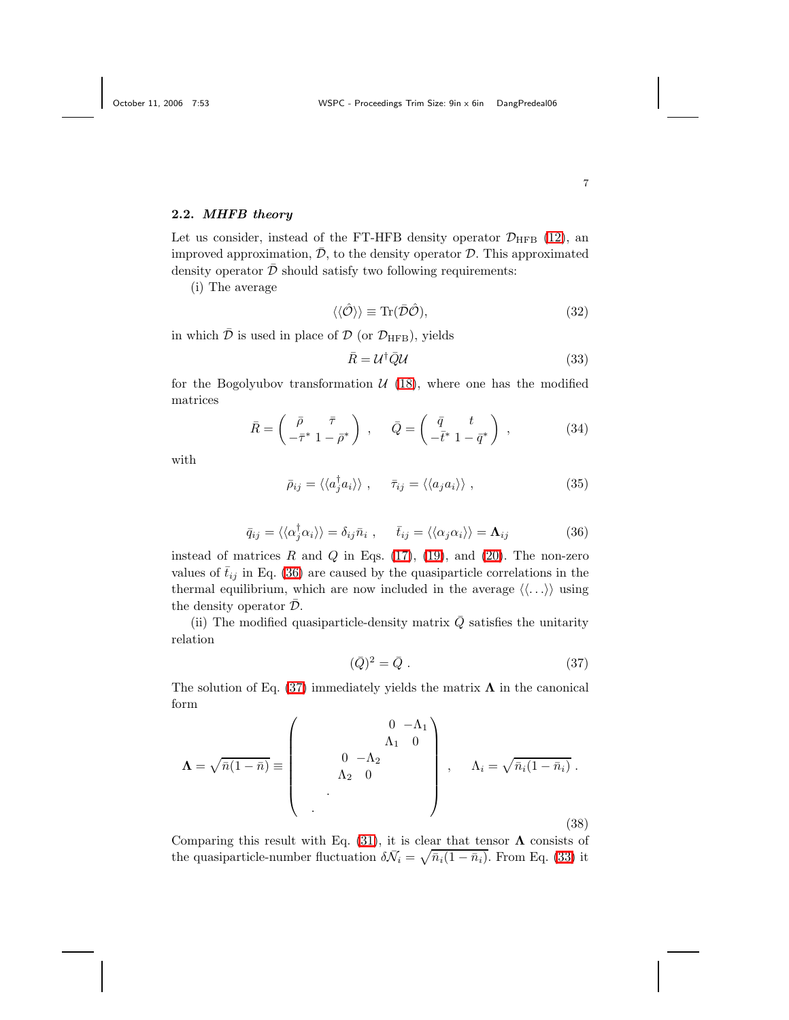#### 2.2. MHFB theory

Let us consider, instead of the FT-HFB density operator  $\mathcal{D}_{\text{HFB}}$  [\(12\)](#page-3-2), an improved approximation,  $\bar{\mathcal{D}}$ , to the density operator  $\mathcal{D}$ . This approximated density operator  $\bar{\mathcal{D}}$  should satisfy two following requirements:

<span id="page-6-3"></span>(i) The average

<span id="page-6-2"></span>
$$
\langle \langle \hat{\mathcal{O}} \rangle \rangle \equiv \text{Tr}(\bar{\mathcal{D}}\hat{\mathcal{O}}),\tag{32}
$$

in which  $\bar{\mathcal{D}}$  is used in place of  $\mathcal{D}$  (or  $\mathcal{D}_{\text{HFB}}$ ), yields

$$
\bar{R} = \mathcal{U}^{\dagger} \bar{\mathcal{Q}} \mathcal{U} \tag{33}
$$

<span id="page-6-4"></span>for the Bogolyubov transformation  $U(18)$  $U(18)$ , where one has the modified matrices

$$
\bar{R} = \begin{pmatrix} \bar{\rho} & \bar{\tau} \\ -\bar{\tau}^* & 1 - \bar{\rho}^* \end{pmatrix} , \quad \bar{Q} = \begin{pmatrix} \bar{q} & t \\ -\bar{t}^* & 1 - \bar{q}^* \end{pmatrix} , \quad (34)
$$

<span id="page-6-0"></span>with

$$
\bar{\rho}_{ij} = \langle \langle a_j^{\dagger} a_i \rangle \rangle \ , \quad \bar{\tau}_{ij} = \langle \langle a_j a_i \rangle \rangle \ , \tag{35}
$$

$$
\bar{q}_{ij} = \langle \langle \alpha_j^{\dagger} \alpha_i \rangle \rangle = \delta_{ij} \bar{n}_i , \quad \bar{t}_{ij} = \langle \langle \alpha_j \alpha_i \rangle \rangle = \Lambda_{ij}
$$
 (36)

instead of matrices  $R$  and  $Q$  in Eqs. [\(17\)](#page-4-1), [\(19\)](#page-4-4), and [\(20\)](#page-4-5). The non-zero values of  $\bar{t}_{ij}$  in Eq. [\(36\)](#page-6-0) are caused by the quasiparticle correlations in the thermal equilibrium, which are now included in the average  $\langle \langle \ldots \rangle \rangle$  using the density operator  $\overline{\mathcal{D}}$ .

<span id="page-6-1"></span>(ii) The modified quasiparticle-density matrix  $\overline{Q}$  satisfies the unitarity relation

$$
(\bar{Q})^2 = \bar{Q} \tag{37}
$$

The solution of Eq. [\(37\)](#page-6-1) immediately yields the matrix  $\Lambda$  in the canonical form

$$
\Lambda = \sqrt{\bar{n}(1-\bar{n})} \equiv \begin{pmatrix} 0 & -\Lambda_1 \\ \Lambda_1 & 0 \\ \Lambda_2 & 0 \end{pmatrix}, \quad \Lambda_i = \sqrt{\bar{n}_i(1-\bar{n}_i)}.
$$
\n(38)

Comparing this result with Eq. [\(31\)](#page-5-2), it is clear that tensor  $\Lambda$  consists of the quasiparticle-number fluctuation  $\delta \bar{N}_i = \sqrt{\bar{n}_i(1 - \bar{n}_i)}$ . From Eq. [\(33\)](#page-6-2) it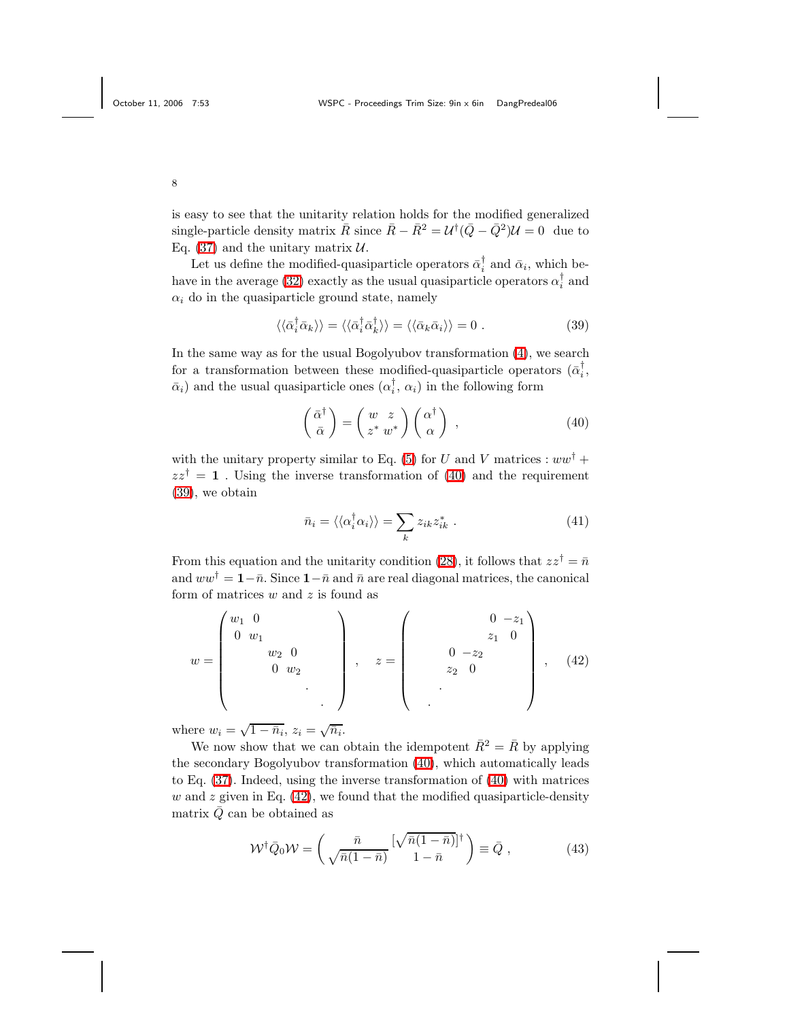is easy to see that the unitarity relation holds for the modified generalized single-particle density matrix  $\bar{R}$  since  $\bar{R} - \bar{R}^2 = U^{\dagger} (\bar{Q} - \bar{Q}^2) U = 0$  due to Eq. [\(37\)](#page-6-1) and the unitary matrix  $U$ .

Let us define the modified-quasiparticle operators  $\bar{\alpha}_i^{\dagger}$  and  $\bar{\alpha}_i$ , which be-have in the average [\(32\)](#page-6-3) exactly as the usual quasiparticle operators  $\alpha_i^{\dagger}$  and  $\alpha_i$  do in the quasiparticle ground state, namely

<span id="page-7-1"></span>
$$
\langle \langle \bar{\alpha}_i^{\dagger} \bar{\alpha}_k \rangle \rangle = \langle \langle \bar{\alpha}_i^{\dagger} \bar{\alpha}_k^{\dagger} \rangle \rangle = \langle \langle \bar{\alpha}_k \bar{\alpha}_i \rangle \rangle = 0.
$$
 (39)

In the same way as for the usual Bogolyubov transformation [\(4\)](#page-2-2), we search for a transformation between these modified-quasiparticle operators  $(\bar{\alpha}_i^{\dagger},$  $\bar{\alpha}_i$ ) and the usual quasiparticle ones  $(\alpha_i^{\dagger}, \alpha_i)$  in the following form

<span id="page-7-0"></span>
$$
\begin{pmatrix} \bar{\alpha}^{\dagger} \\ \bar{\alpha} \end{pmatrix} = \begin{pmatrix} w & z \\ z^* & w^* \end{pmatrix} \begin{pmatrix} \alpha^{\dagger} \\ \alpha \end{pmatrix} , \qquad (40)
$$

with the unitary property similar to Eq. [\(5\)](#page-2-4) for U and V matrices :  $ww^{\dagger}$  +  $zz^{\dagger} = 1$ . Using the inverse transformation of [\(40\)](#page-7-0) and the requirement [\(39\)](#page-7-1), we obtain

<span id="page-7-2"></span>
$$
\bar{n}_i = \langle \langle \alpha_i^{\dagger} \alpha_i \rangle \rangle = \sum_k z_{ik} z_{ik}^* . \tag{41}
$$

From this equation and the unitarity condition [\(28\)](#page-5-0), it follows that  $zz^{\dagger} = \bar{n}$ and  $ww^{\dagger} = 1-\bar{n}$ . Since  $1-\bar{n}$  and  $\bar{n}$  are real diagonal matrices, the canonical form of matrices  $w$  and  $z$  is found as

$$
w = \begin{pmatrix} w_1 & 0 & & & \\ 0 & w_1 & & & \\ & w_2 & 0 & & \\ & & 0 & w_2 & \\ & & & & \ddots \end{pmatrix}, \quad z = \begin{pmatrix} 0 & -z_1 \\ z_1 & 0 \\ z_2 & 0 \end{pmatrix}, \quad (42)
$$

where  $w_i = \sqrt{1 - \bar{n}_i}$ ,  $z_i = \sqrt{\bar{n}_i}$ .

We now show that we can obtain the idempotent  $\bar{R}^2 = \bar{R}$  by applying the secondary Bogolyubov transformation [\(40\)](#page-7-0), which automatically leads to Eq. [\(37\)](#page-6-1). Indeed, using the inverse transformation of [\(40\)](#page-7-0) with matrices w and z given in Eq.  $(42)$ , we found that the modified quasiparticle-density matrix  $\overline{Q}$  can be obtained as

$$
\mathcal{W}^{\dagger} \bar{Q}_0 \mathcal{W} = \begin{pmatrix} \bar{n} & [\sqrt{\bar{n}(1-\bar{n})}]^{\dagger} \\ \sqrt{\bar{n}(1-\bar{n})} & 1-\bar{n} \end{pmatrix} \equiv \bar{Q} , \qquad (43)
$$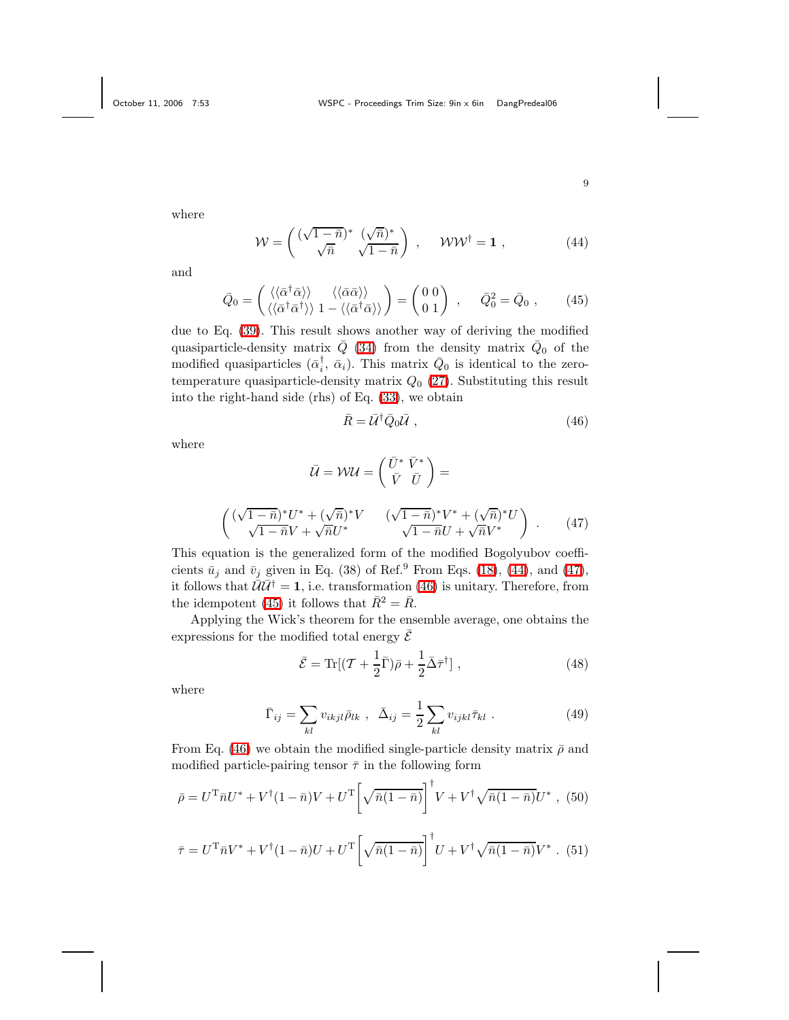<span id="page-8-0"></span>where

$$
\mathcal{W} = \begin{pmatrix} (\sqrt{1-\bar{n}})^* & (\sqrt{\bar{n}})^* \\ \sqrt{\bar{n}} & \sqrt{1-\bar{n}} \end{pmatrix} , \quad \mathcal{WW}^{\dagger} = \mathbf{1} , \quad (44)
$$

<span id="page-8-3"></span>and

$$
\bar{Q}_0 = \begin{pmatrix} \langle \langle \bar{\alpha}^\dagger \bar{\alpha} \rangle \rangle & \langle \langle \bar{\alpha} \bar{\alpha} \rangle \rangle \\ \langle \langle \bar{\alpha}^\dagger \bar{\alpha}^\dagger \rangle \rangle & 1 - \langle \langle \bar{\alpha}^\dagger \bar{\alpha} \rangle \rangle \end{pmatrix} = \begin{pmatrix} 0 & 0 \\ 0 & 1 \end{pmatrix} , \qquad \bar{Q}_0^2 = \bar{Q}_0 , \qquad (45)
$$

due to Eq. [\(39\)](#page-7-1). This result shows another way of deriving the modified quasiparticle-density matrix  $\overline{Q}$  [\(34\)](#page-6-4) from the density matrix  $\overline{Q}_0$  of the modified quasiparticles  $(\bar{\alpha}_i^{\dagger}, \bar{\alpha}_i)$ . This matrix  $\bar{Q}_0$  is identical to the zerotemperature quasiparticle-density matrix  $Q_0$  [\(27\)](#page-5-3). Substituting this result into the right-hand side (rhs) of Eq. [\(33\)](#page-6-2), we obtain

<span id="page-8-2"></span>
$$
\bar{R} = \bar{U}^{\dagger} \bar{Q}_0 \bar{U} , \qquad (46)
$$

<span id="page-8-1"></span>where

$$
\bar{U} = \mathcal{W}U = \begin{pmatrix} \bar{U}^* \ \bar{V}^* \\ \bar{V} \ \bar{U} \end{pmatrix} =
$$
\n
$$
\begin{pmatrix} (\sqrt{1-\bar{n}})^* U^* + (\sqrt{\bar{n}})^* V & (\sqrt{1-\bar{n}})^* V^* + (\sqrt{\bar{n}})^* U \\ \sqrt{1-\bar{n}} V + \sqrt{\bar{n}} U^* & \sqrt{1-\bar{n}} U + \sqrt{\bar{n}} V^* \end{pmatrix} .
$$
\n(47)

This equation is the generalized form of the modified Bogolyubov coefficients  $\bar{u}_i$  and  $\bar{v}_i$  given in Eq. (38) of Ref.<sup>9</sup> From Eqs. [\(18\)](#page-4-3), [\(44\)](#page-8-0), and [\(47\)](#page-8-1), it follows that  $\bar{\mathcal{U}}\bar{\mathcal{U}}^{\dagger} = 1$ , i.e. transformation [\(46\)](#page-8-2) is unitary. Therefore, from the idempotent [\(45\)](#page-8-3) it follows that  $\bar{R}^2 = \bar{R}$ .

Applying the Wick's theorem for the ensemble average, one obtains the expressions for the modified total energy  $\overline{\mathcal{E}}$ 

<span id="page-8-4"></span>
$$
\bar{\mathcal{E}} = \text{Tr}[(\mathcal{T} + \frac{1}{2}\bar{\Gamma})\bar{\rho} + \frac{1}{2}\bar{\Delta}\bar{\tau}^{\dagger}], \qquad (48)
$$

<span id="page-8-6"></span>where

$$
\bar{\Gamma}_{ij} = \sum_{kl} v_{ikjl} \bar{\rho}_{lk} , \ \ \bar{\Delta}_{ij} = \frac{1}{2} \sum_{kl} v_{ijkl} \bar{\tau}_{kl} . \tag{49}
$$

From Eq. [\(46\)](#page-8-2) we obtain the modified single-particle density matrix  $\bar{\rho}$  and modified particle-pairing tensor  $\bar{\tau}$  in the following form

<span id="page-8-5"></span>
$$
\bar{\rho} = U^{\mathrm{T}} \bar{n} U^* + V^{\dagger} (1 - \bar{n}) V + U^{\mathrm{T}} \left[ \sqrt{\bar{n} (1 - \bar{n})} \right]^{\dagger} V + V^{\dagger} \sqrt{\bar{n} (1 - \bar{n})} U^* , \tag{50}
$$

$$
\bar{\tau} = U^{\mathrm{T}} \bar{n} V^* + V^{\dagger} (1 - \bar{n}) U + U^{\mathrm{T}} \left[ \sqrt{\bar{n} (1 - \bar{n})} \right]^{\dagger} U + V^{\dagger} \sqrt{\bar{n} (1 - \bar{n})} V^* \ . \tag{51}
$$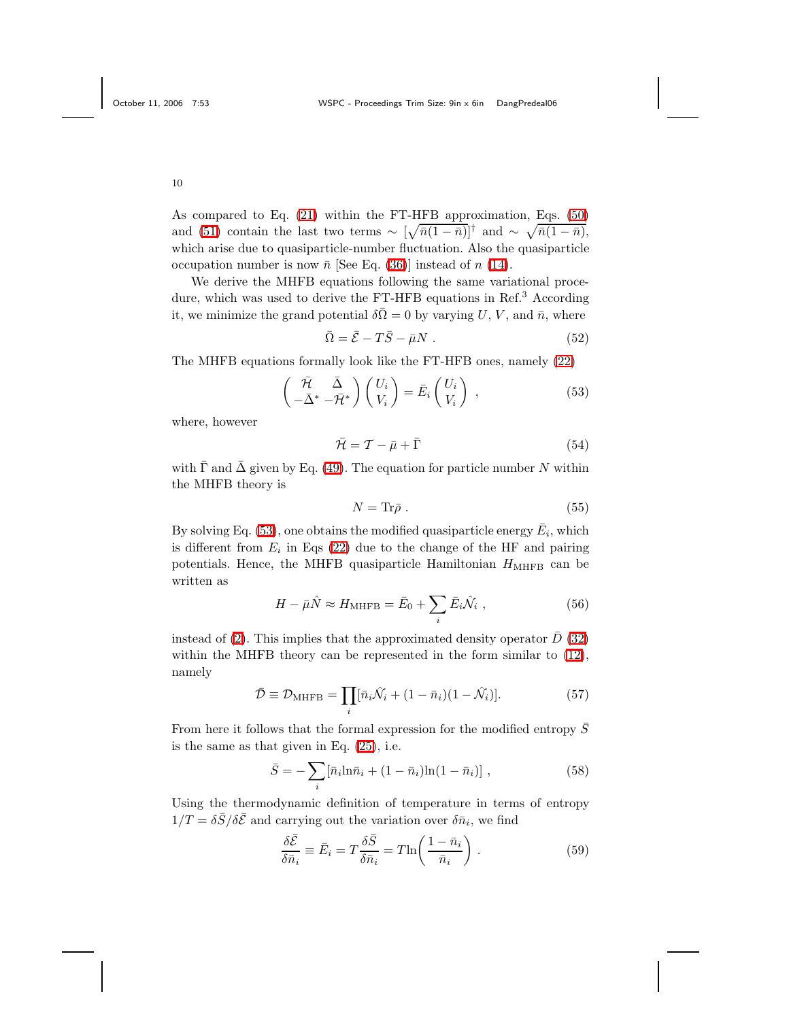As compared to Eq. [\(21\)](#page-4-6) within the FT-HFB approximation, Eqs. [\(50\)](#page-8-4) and [\(51\)](#page-8-5) contain the last two terms  $\sim \left[\sqrt{\bar{n}(1-\bar{n})}\right]^{\dagger}$  and  $\sim \sqrt{\bar{n}(1-\bar{n})}$ , which arise due to quasiparticle-number fluctuation. Also the quasiparticle occupation number is now  $\bar{n}$  [See Eq. [\(36\)](#page-6-0)] instead of n [\(14\)](#page-3-6).

We derive the MHFB equations following the same variational procedure, which was used to derive the FT-HFB equations in Ref.<sup>3</sup> According it, we minimize the grand potential  $\delta \overline{\Omega} = 0$  by varying U, V, and  $\overline{n}$ , where

<span id="page-9-0"></span>
$$
\bar{\Omega} = \bar{\mathcal{E}} - T\bar{S} - \bar{\mu}N . \qquad (52)
$$

The MHFB equations formally look like the FT-HFB ones, namely [\(22\)](#page-4-7)

$$
\begin{pmatrix}\n\bar{\mathcal{H}} & \bar{\Delta} \\
-\bar{\Delta}^* & -\bar{\mathcal{H}}^*\n\end{pmatrix}\n\begin{pmatrix}\nU_i \\
V_i\n\end{pmatrix} = \bar{E}_i \begin{pmatrix}\nU_i \\
V_i\n\end{pmatrix},
$$
\n(53)

where, however

$$
\bar{\mathcal{H}} = \mathcal{T} - \bar{\mu} + \bar{\Gamma} \tag{54}
$$

<span id="page-9-2"></span>with  $\bar{\Gamma}$  and  $\bar{\Delta}$  given by Eq. [\(49\)](#page-8-6). The equation for particle number N within the MHFB theory is

$$
N = \text{Tr}\bar{\rho} \ . \tag{55}
$$

By solving Eq. [\(53\)](#page-9-0), one obtains the modified quasiparticle energy  $\bar{E}_i$ , which is different from  $E_i$  in Eqs [\(22\)](#page-4-7) due to the change of the HF and pairing potentials. Hence, the MHFB quasiparticle Hamiltonian  $H_{\text{MHFB}}$  can be written as

$$
H - \bar{\mu}\hat{N} \approx H_{\text{MHFB}} = \bar{E}_0 + \sum_i \bar{E}_i \hat{\mathcal{N}}_i , \qquad (56)
$$

instead of [\(2\)](#page-2-1). This implies that the approximated density operator  $\bar{D}$  [\(32\)](#page-6-3) within the MHFB theory can be represented in the form similar to [\(12\)](#page-3-2), namely

$$
\bar{\mathcal{D}} \equiv \mathcal{D}_{\text{MHFB}} = \prod_{i} [\bar{n}_i \hat{\mathcal{N}}_i + (1 - \bar{n}_i)(1 - \hat{\mathcal{N}}_i)]. \tag{57}
$$

From here it follows that the formal expression for the modified entropy  $\overline{S}$ is the same as that given in Eq. [\(25\)](#page-5-4), i.e.

$$
\bar{S} = -\sum_{i} [\bar{n}_{i} \ln \bar{n}_{i} + (1 - \bar{n}_{i}) \ln(1 - \bar{n}_{i})], \qquad (58)
$$

Using the thermodynamic definition of temperature in terms of entropy  $1/T = \delta \bar{S}/\delta \bar{\mathcal{E}}$  and carrying out the variation over  $\delta \bar{n}_i$ , we find

<span id="page-9-1"></span>
$$
\frac{\delta \bar{\mathcal{E}}}{\delta \bar{n}_i} \equiv \bar{E}_i = T \frac{\delta \bar{S}}{\delta \bar{n}_i} = T \ln \left( \frac{1 - \bar{n}_i}{\bar{n}_i} \right) . \tag{59}
$$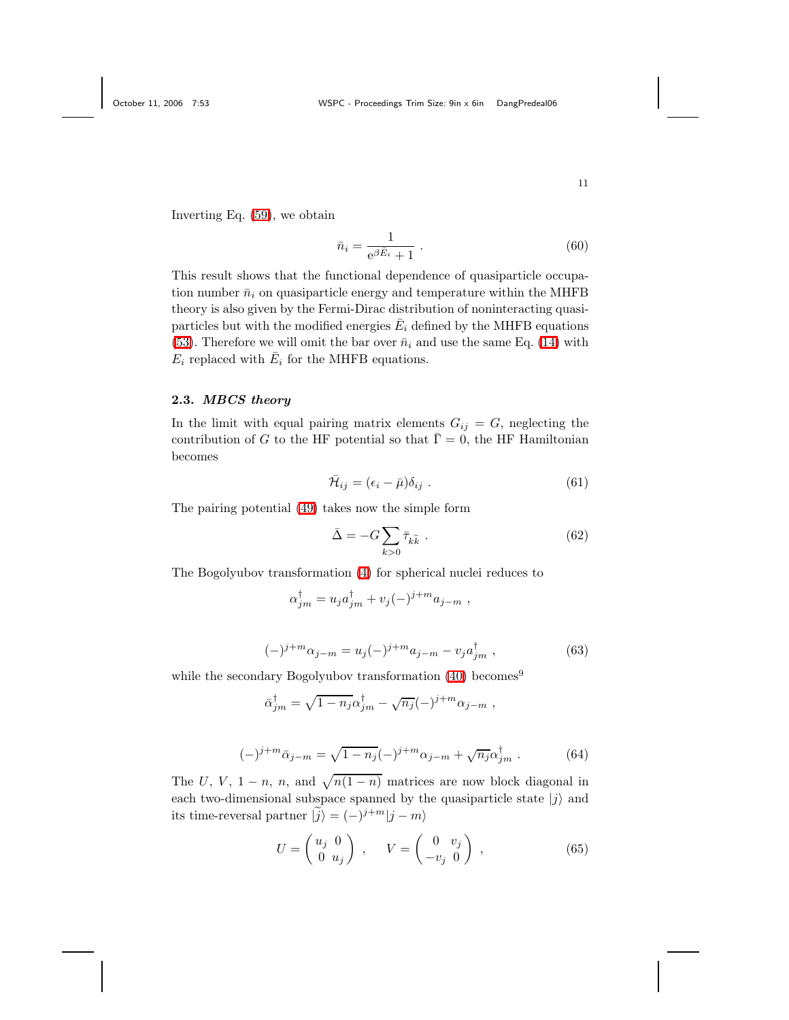Inverting Eq. [\(59\)](#page-9-1), we obtain

$$
\bar{n}_i = \frac{1}{e^{\beta \bar{E}_i} + 1} \tag{60}
$$

This result shows that the functional dependence of quasiparticle occupation number  $\bar{n}_i$  on quasiparticle energy and temperature within the MHFB theory is also given by the Fermi-Dirac distribution of noninteracting quasiparticles but with the modified energies  $\bar{E}_i$  defined by the MHFB equations [\(53\)](#page-9-0). Therefore we will omit the bar over  $\bar{n}_i$  and use the same Eq. [\(14\)](#page-3-6) with  $E_i$  replaced with  $\bar{E}_i$  for the MHFB equations.

# 2.3. MBCS theory

In the limit with equal pairing matrix elements  $G_{ij} = G$ , neglecting the contribution of G to the HF potential so that  $\bar{\Gamma} = 0$ , the HF Hamiltonian becomes

<span id="page-10-0"></span>
$$
\bar{\mathcal{H}}_{ij} = (\epsilon_i - \bar{\mu})\delta_{ij} . \tag{61}
$$

The pairing potential [\(49\)](#page-8-6) takes now the simple form

$$
\bar{\Delta} = -G \sum_{k>0} \bar{\tau}_{k\tilde{k}} \tag{62}
$$

The Bogolyubov transformation [\(4\)](#page-2-2) for spherical nuclei reduces to

$$
\alpha_{jm}^{\dagger} = u_j a_{jm}^{\dagger} + v_j (-)^{j+m} a_{j-m} ,
$$

$$
(-)^{j+m} \alpha_{j-m} = u_j (-)^{j+m} a_{j-m} - v_j a_{jm}^{\dagger} , \qquad (63)
$$

while the secondary Bogolyubov transformation [\(40\)](#page-7-0) becomes<sup>9</sup>

$$
\bar{\alpha}_{jm}^{\dagger} = \sqrt{1 - n_j} \alpha_{jm}^{\dagger} - \sqrt{n_j} (-)^{j+m} \alpha_{j-m} ,
$$

$$
(-)^{j+m}\bar{\alpha}_{j-m} = \sqrt{1-n_j}(-)^{j+m}\alpha_{j-m} + \sqrt{n_j}\alpha_{jm}^{\dagger}.
$$
 (64)

The U, V, 1 – n, n, and  $\sqrt{n(1-n)}$  matrices are now block diagonal in each two-dimensional subspace spanned by the quasiparticle state  $|j\rangle$  and its time-reversal partner  $|\tilde{j}\rangle = (-)^{j+m}|j-m\rangle$ 

$$
U = \begin{pmatrix} u_j & 0 \\ 0 & u_j \end{pmatrix} , \qquad V = \begin{pmatrix} 0 & v_j \\ -v_j & 0 \end{pmatrix} , \qquad (65)
$$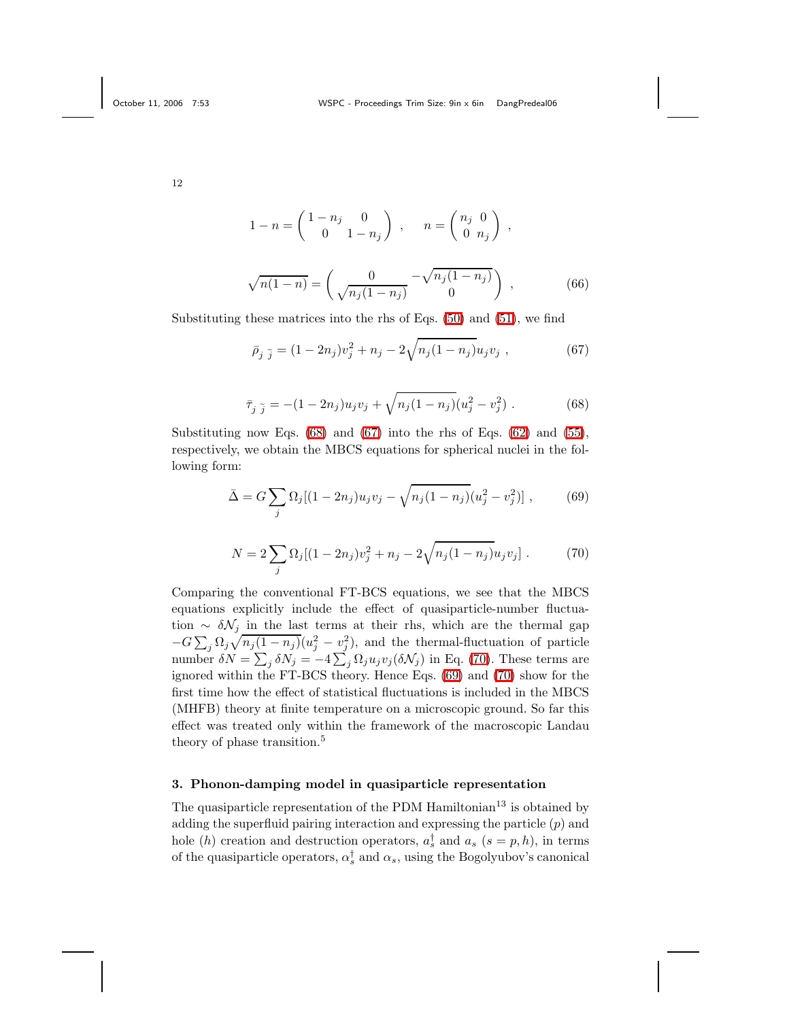$$
1 - n = \begin{pmatrix} 1 - n_j & 0 \\ 0 & 1 - n_j \end{pmatrix} , \quad n = \begin{pmatrix} n_j & 0 \\ 0 & n_j \end{pmatrix} ,
$$

<span id="page-11-1"></span>
$$
\sqrt{n(1-n)} = \begin{pmatrix} 0 & -\sqrt{n_j(1-n_j)} \\ \sqrt{n_j(1-n_j)} & 0 \end{pmatrix} , \qquad (66)
$$

<span id="page-11-0"></span>Substituting these matrices into the rhs of Eqs. [\(50\)](#page-8-4) and [\(51\)](#page-8-5), we find

$$
\bar{\rho}_j \tilde{j} = (1 - 2n_j)v_j^2 + n_j - 2\sqrt{n_j(1 - n_j)}u_jv_j , \qquad (67)
$$

$$
\bar{\tau}_{j\,\,\tilde{j}} = -(1 - 2n_j)u_j v_j + \sqrt{n_j(1 - n_j)}(u_j^2 - v_j^2) \,. \tag{68}
$$

<span id="page-11-3"></span><span id="page-11-2"></span>Substituting now Eqs.  $(68)$  and  $(67)$  into the rhs of Eqs.  $(62)$  and  $(55)$ , respectively, we obtain the MBCS equations for spherical nuclei in the following form:

$$
\bar{\Delta} = G \sum_{j} \Omega_{j} [(1 - 2n_{j}) u_{j} v_{j} - \sqrt{n_{j} (1 - n_{j})} (u_{j}^{2} - v_{j}^{2})], \qquad (69)
$$

$$
N = 2\sum_{j} \Omega_{j} [(1 - 2n_{j})v_{j}^{2} + n_{j} - 2\sqrt{n_{j}(1 - n_{j})}u_{j}v_{j}].
$$
 (70)

Comparing the conventional FT-BCS equations, we see that the MBCS equations explicitly include the effect of quasiparticle-number fluctuation ~  $\delta \mathcal{N}_j$  in the last terms at their rhs, which are the thermal gap  $-G \sum_j \Omega_j \sqrt{n_j(1-n_j)}(u_j^2 - v_j^2)$ , and the thermal-fluctuation of particle number  $\delta N = \sum_j \delta N_j = -4 \sum_j \Omega_j u_j v_j (\delta N_j)$  in Eq. [\(70\)](#page-11-2). These terms are ignored within the FT-BCS theory. Hence Eqs. [\(69\)](#page-11-3) and [\(70\)](#page-11-2) show for the first time how the effect of statistical fluctuations is included in the MBCS (MHFB) theory at finite temperature on a microscopic ground. So far this effect was treated only within the framework of the macroscopic Landau theory of phase transition.<sup>5</sup>

# 3. Phonon-damping model in quasiparticle representation

The quasiparticle representation of the PDM  $\text{Hamiltonian}^{13}$  is obtained by adding the superfluid pairing interaction and expressing the particle  $(p)$  and hole (*h*) creation and destruction operators,  $a_s^{\dagger}$  and  $a_s$  ( $s = p, h$ ), in terms of the quasiparticle operators,  $\alpha_s^{\dagger}$  and  $\alpha_s$ , using the Bogolyubov's canonical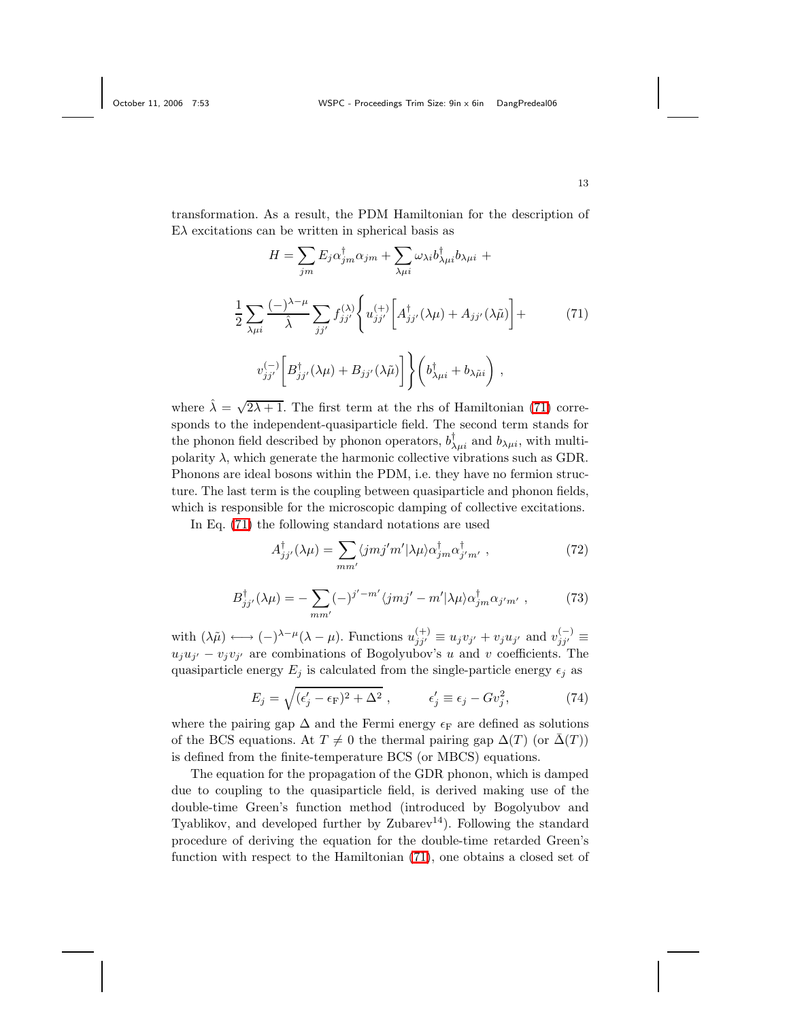<span id="page-12-0"></span>transformation. As a result, the PDM Hamiltonian for the description of  $E\lambda$  excitations can be written in spherical basis as

$$
H = \sum_{jm} E_j \alpha_{jm}^{\dagger} \alpha_{jm} + \sum_{\lambda \mu i} \omega_{\lambda i} b_{\lambda \mu i}^{\dagger} b_{\lambda \mu i} +
$$
  

$$
\frac{1}{2} \sum_{\lambda \mu i} \frac{(-\lambda - \mu)}{\hat{\lambda}} \sum_{jj'} f_{jj'}^{(\lambda)} \left\{ u_{jj'}^{(+)} \left[ A_{jj'}^{\dagger} (\lambda \mu) + A_{jj'} (\lambda \tilde{\mu}) \right] +
$$
  

$$
v_{jj'}^{(-)} \left[ B_{jj'}^{\dagger} (\lambda \mu) + B_{jj'} (\lambda \tilde{\mu}) \right] \left\} \left( b_{\lambda \mu i}^{\dagger} + b_{\lambda \tilde{\mu} i} \right) ,
$$
 (71)

where  $\hat{\lambda} = \sqrt{2\lambda + 1}$ . The first term at the rhs of Hamiltonian [\(71\)](#page-12-0) corresponds to the independent-quasiparticle field. The second term stands for the phonon field described by phonon operators,  $b^{\dagger}_{\lambda\mu i}$  and  $b_{\lambda\mu i}$ , with multipolarity  $\lambda$ , which generate the harmonic collective vibrations such as GDR. Phonons are ideal bosons within the PDM, i.e. they have no fermion structure. The last term is the coupling between quasiparticle and phonon fields, which is responsible for the microscopic damping of collective excitations.

In Eq. [\(71\)](#page-12-0) the following standard notations are used

$$
A_{jj'}^{\dagger}(\lambda \mu) = \sum_{mm'} \langle jmj'm'|\lambda \mu \rangle \alpha_{jm}^{\dagger} \alpha_{j'm'}^{\dagger} , \qquad (72)
$$

$$
B_{jj'}^{\dagger}(\lambda \mu) = -\sum_{mm'} (-)^{j'-m'} \langle jmj' - m'|\lambda \mu \rangle \alpha_{jm}^{\dagger} \alpha_{j'm'} , \qquad (73)
$$

with  $(\lambda \tilde{\mu}) \longleftrightarrow (-)^{\lambda-\mu} (\lambda - \mu)$ . Functions  $u_{jj'}^{(+)} \equiv u_j v_{j'} + v_j u_{j'}$  and  $v_{jj'}^{(-)} \equiv$  $u_j u_{j'} - v_j v_{j'}$  are combinations of Bogolyubov's u and v coefficients. The quasiparticle energy  $E_j$  is calculated from the single-particle energy  $\epsilon_j$  as

$$
E_j = \sqrt{(\epsilon_j' - \epsilon_F)^2 + \Delta^2} \,, \qquad \epsilon_j' \equiv \epsilon_j - G v_j^2,\tag{74}
$$

where the pairing gap  $\Delta$  and the Fermi energy  $\epsilon_F$  are defined as solutions of the BCS equations. At  $T \neq 0$  the thermal pairing gap  $\Delta(T)$  (or  $\overline{\Delta(T)}$ ) is defined from the finite-temperature BCS (or MBCS) equations.

The equation for the propagation of the GDR phonon, which is damped due to coupling to the quasiparticle field, is derived making use of the double-time Green's function method (introduced by Bogolyubov and Tyablikov, and developed further by  $\mathbb{Z}$ ubarev<sup>14</sup>). Following the standard procedure of deriving the equation for the double-time retarded Green's function with respect to the Hamiltonian [\(71\)](#page-12-0), one obtains a closed set of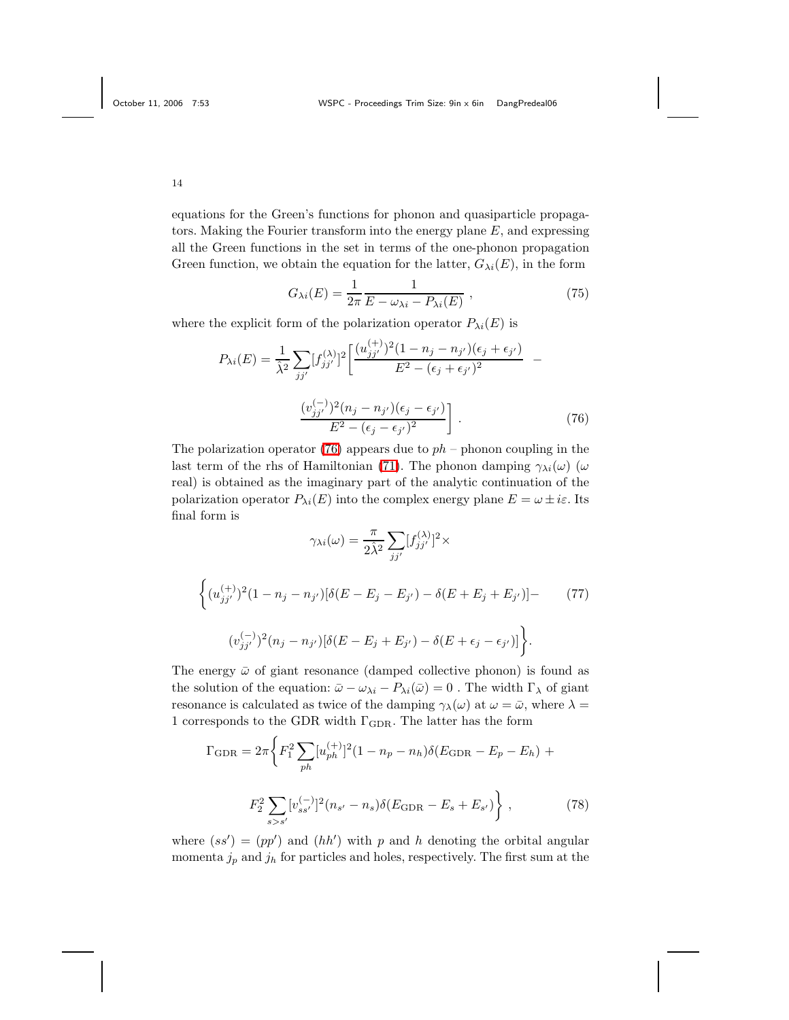equations for the Green's functions for phonon and quasiparticle propagators. Making the Fourier transform into the energy plane E, and expressing all the Green functions in the set in terms of the one-phonon propagation Green function, we obtain the equation for the latter,  $G_{\lambda i}(E)$ , in the form

<span id="page-13-2"></span>
$$
G_{\lambda i}(E) = \frac{1}{2\pi} \frac{1}{E - \omega_{\lambda i} - P_{\lambda i}(E)},
$$
\n(75)

<span id="page-13-0"></span>where the explicit form of the polarization operator  $P_{\lambda i}(E)$  is

$$
P_{\lambda i}(E) = \frac{1}{\lambda^2} \sum_{jj'} [f_{jj'}^{(\lambda)}]^2 \left[ \frac{(u_{jj'}^{(+)})^2 (1 - n_j - n_{j'}) (\epsilon_j + \epsilon_{j'})}{E^2 - (\epsilon_j + \epsilon_{j'})^2} - \frac{(v_{jj'}^{(-)})^2 (n_j - n_{j'}) (\epsilon_j - \epsilon_{j'})}{E^2 - (\epsilon_j - \epsilon_{j'})^2} \right].
$$
 (76)

The polarization operator [\(76\)](#page-13-0) appears due to  $ph$  – phonon coupling in the last term of the rhs of Hamiltonian [\(71\)](#page-12-0). The phonon damping  $\gamma_{\lambda i}(\omega)$  ( $\omega$ real) is obtained as the imaginary part of the analytic continuation of the polarization operator  $P_{\lambda i}(E)$  into the complex energy plane  $E = \omega \pm i\varepsilon$ . Its final form is

$$
\gamma_{\lambda i}(\omega) = \frac{\pi}{2\hat{\lambda}^2} \sum_{jj'} [f_{jj'}^{(\lambda)}]^2 \times
$$
  

$$
\left\{ (u_{jj'}^{(+)})^2 (1 - n_j - n_{j'}) [\delta(E - E_j - E_{j'}) - \delta(E + E_j + E_{j'})] - (77) \right\}
$$
  

$$
(v_{jj'}^{(-)})^2 (n_j - n_{j'}) [\delta(E - E_j + E_{j'}) - \delta(E + \epsilon_j - \epsilon_{j'})] \right\}.
$$

The energy  $\bar{\omega}$  of giant resonance (damped collective phonon) is found as the solution of the equation:  $\bar{\omega} - \omega_{\lambda i} - P_{\lambda i}(\bar{\omega}) = 0$ . The width  $\Gamma_{\lambda}$  of giant resonance is calculated as twice of the damping  $\gamma_{\lambda}(\omega)$  at  $\omega = \bar{\omega}$ , where  $\lambda =$ 1 corresponds to the GDR width  $\Gamma_{\rm GDR}.$  The latter has the form

$$
\Gamma_{\text{GDR}} = 2\pi \left\{ F_1^2 \sum_{ph} [u_{ph}^{(+)}]^2 (1 - n_p - n_h) \delta(E_{\text{GDR}} - E_p - E_h) + F_2^2 \sum_{s > s'} [v_{ss'}^{(-)}]^2 (n_{s'} - n_s) \delta(E_{\text{GDR}} - E_s + E_{s'}) \right\},
$$
\n(78)

<span id="page-13-1"></span>where  $(ss') = (pp')$  and  $(hh')$  with p and h denoting the orbital angular momenta  $j_p$  and  $j_h$  for particles and holes, respectively. The first sum at the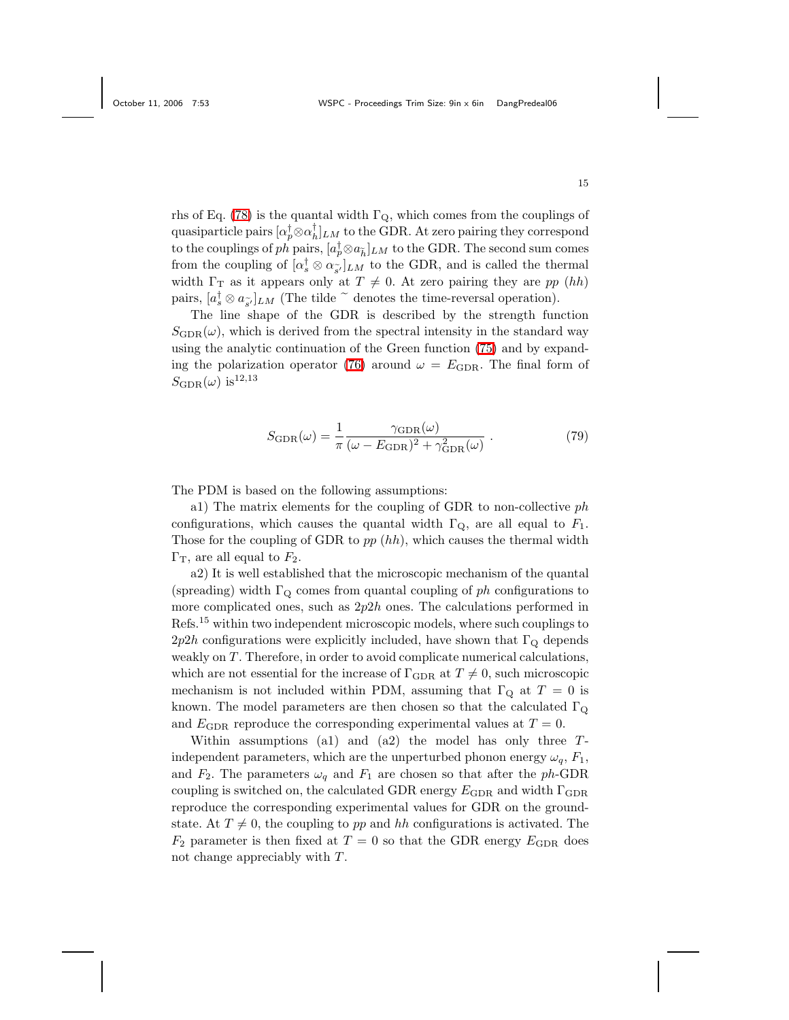rhs of Eq. [\(78\)](#page-13-1) is the quantal width  $\Gamma_{\mathbf{Q}}$ , which comes from the couplings of quasiparticle pairs  $[\alpha_p^{\dagger} \otimes \alpha_h^{\dagger}]_{LM}$  to the GDR. At zero pairing they correspond to the couplings of ph pairs,  $[a_p^{\dagger} \otimes a_{\tilde{h}}]_{LM}$  to the GDR. The second sum comes from the coupling of  $[\alpha_s^{\dagger} \otimes \alpha_{\tilde{s}'}]_{LM}$  to the GDR, and is called the thermal width  $\Gamma_{\rm T}$  as it appears only at  $T \neq 0$ . At zero pairing they are pp (hh) pairs,  $[a_s^{\dagger} \otimes a_{\tilde{s'}}]_{LM}$  (The tilde  $\tilde{C}$  denotes the time-reversal operation).

The line shape of the GDR is described by the strength function  $S<sub>GDR</sub>(\omega)$ , which is derived from the spectral intensity in the standard way using the analytic continuation of the Green function [\(75\)](#page-13-2) and by expand-ing the polarization operator [\(76\)](#page-13-0) around  $\omega = E_{\text{GDR}}$ . The final form of  $S_{\text{GDR}}(\omega)$  is  $^{12,13}$ 

$$
S_{\text{GDR}}(\omega) = \frac{1}{\pi} \frac{\gamma_{\text{GDR}}(\omega)}{(\omega - E_{\text{GDR}})^2 + \gamma_{\text{GDR}}^2(\omega)} . \tag{79}
$$

The PDM is based on the following assumptions:

a1) The matrix elements for the coupling of GDR to non-collective ph configurations, which causes the quantal width  $\Gamma_{\mathbf{Q}}$ , are all equal to  $F_1$ . Those for the coupling of GDR to  $pp(hh)$ , which causes the thermal width  $\Gamma_{\rm T}$ , are all equal to  $F_2$ .

a2) It is well established that the microscopic mechanism of the quantal (spreading) width  $\Gamma_{\mathbf{Q}}$  comes from quantal coupling of ph configurations to more complicated ones, such as  $2p2h$  ones. The calculations performed in Refs.<sup>15</sup> within two independent microscopic models, where such couplings to  $2p2h$  configurations were explicitly included, have shown that  $\Gamma_{\text{Q}}$  depends weakly on  $T$ . Therefore, in order to avoid complicate numerical calculations, which are not essential for the increase of  $\Gamma_{\text{GDR}}$  at  $T \neq 0$ , such microscopic mechanism is not included within PDM, assuming that  $\Gamma_{\mathbf{Q}}$  at  $T = 0$  is known. The model parameters are then chosen so that the calculated  $\Gamma_{Q}$ and  $E_{\text{GDR}}$  reproduce the corresponding experimental values at  $T = 0$ .

Within assumptions (a1) and (a2) the model has only three  $T$ independent parameters, which are the unperturbed phonon energy  $\omega_q$ ,  $F_1$ , and  $F_2$ . The parameters  $\omega_q$  and  $F_1$  are chosen so that after the ph-GDR coupling is switched on, the calculated GDR energy  $E_{\text{GDR}}$  and width  $\Gamma_{\text{GDR}}$ reproduce the corresponding experimental values for GDR on the groundstate. At  $T \neq 0$ , the coupling to pp and hh configurations is activated. The  $F_2$  parameter is then fixed at  $T = 0$  so that the GDR energy  $E_{\text{GDR}}$  does not change appreciably with  $T$ .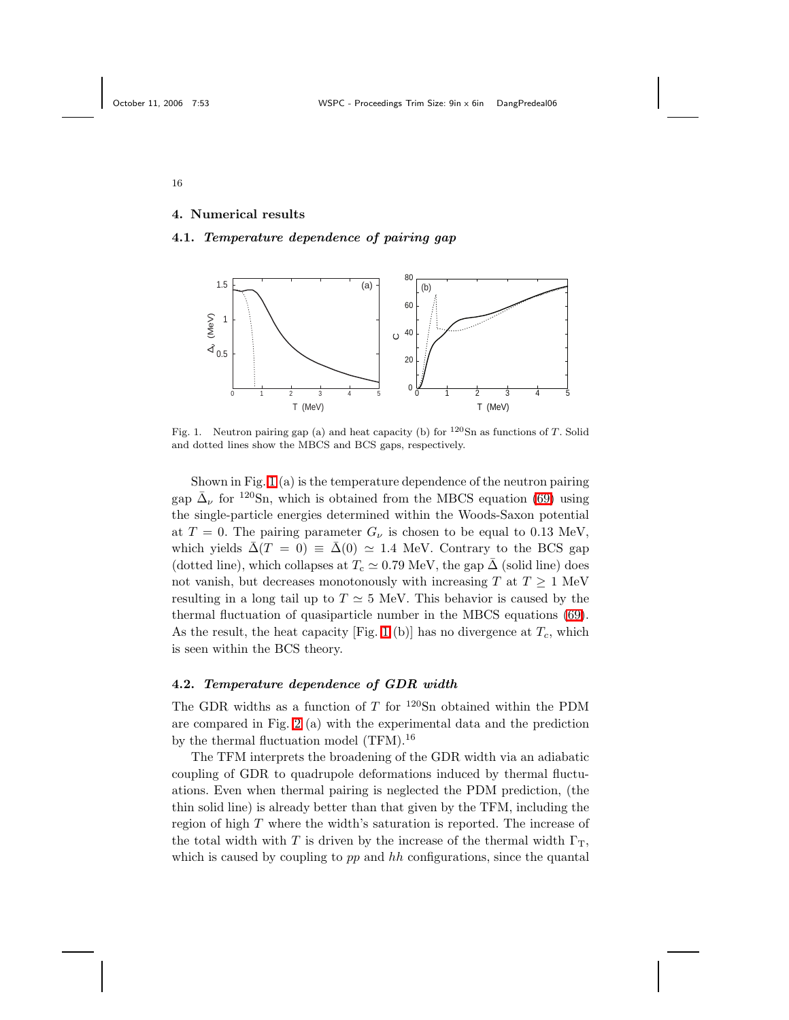## 4. Numerical results

#### 4.1. Temperature dependence of pairing gap



<span id="page-15-0"></span>Fig. 1. Neutron pairing gap (a) and heat capacity (b) for  $120\text{Sn}$  as functions of T. Solid and dotted lines show the MBCS and BCS gaps, respectively.

Shown in Fig. [1](#page-15-0) (a) is the temperature dependence of the neutron pairing gap  $\bar{\Delta}_{\nu}$  for <sup>120</sup>Sn, which is obtained from the MBCS equation [\(69\)](#page-11-3) using the single-particle energies determined within the Woods-Saxon potential at  $T = 0$ . The pairing parameter  $G_{\nu}$  is chosen to be equal to 0.13 MeV, which yields  $\bar{\Delta}(T = 0) \equiv \bar{\Delta}(0) \simeq 1.4$  MeV. Contrary to the BCS gap (dotted line), which collapses at  $T_c \simeq 0.79 \text{ MeV}$ , the gap  $\bar{\Delta}$  (solid line) does not vanish, but decreases monotonously with increasing T at  $T \geq 1$  MeV resulting in a long tail up to  $T \simeq 5$  MeV. This behavior is caused by the thermal fluctuation of quasiparticle number in the MBCS equations [\(69\)](#page-11-3). As the result, the heat capacity [Fig. [1](#page-15-0) (b)] has no divergence at  $T_c$ , which is seen within the BCS theory.

### 4.2. Temperature dependence of GDR width

The GDR widths as a function of T for  $120\text{Sn}$  obtained within the PDM are compared in Fig. [2](#page-16-0) (a) with the experimental data and the prediction by the thermal fluctuation model (TFM).<sup>16</sup>

The TFM interprets the broadening of the GDR width via an adiabatic coupling of GDR to quadrupole deformations induced by thermal fluctuations. Even when thermal pairing is neglected the PDM prediction, (the thin solid line) is already better than that given by the TFM, including the region of high T where the width's saturation is reported. The increase of the total width with T is driven by the increase of the thermal width  $\Gamma_T$ , which is caused by coupling to  $pp$  and  $hh$  configurations, since the quantal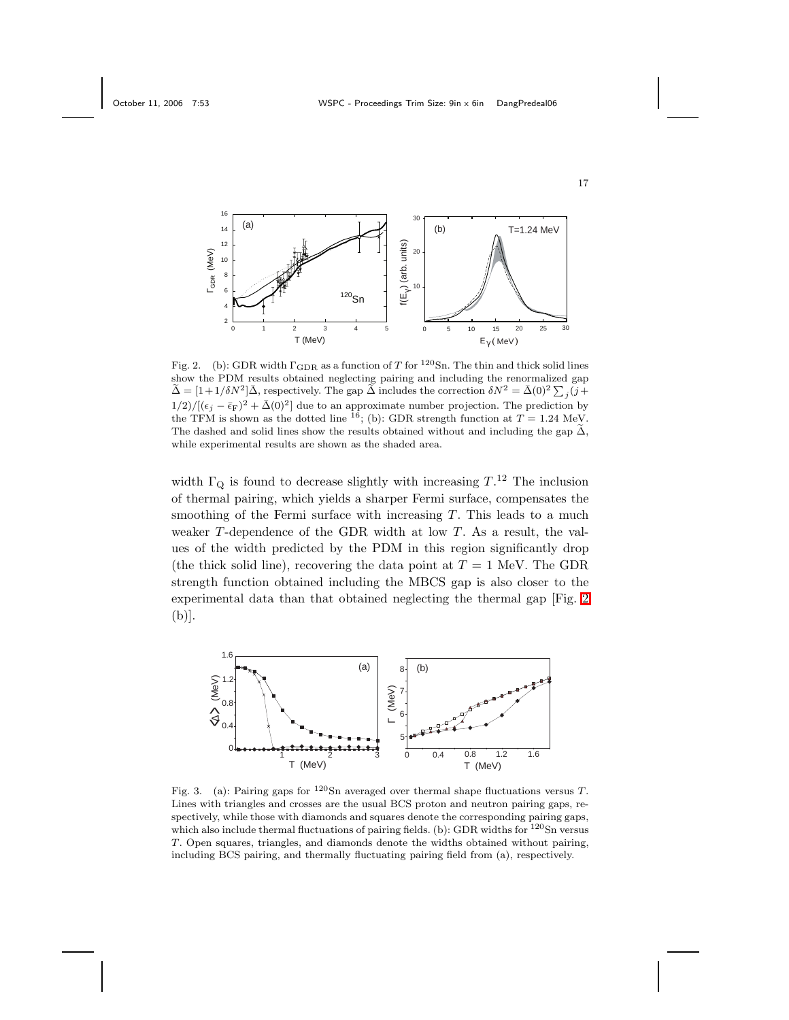

<span id="page-16-0"></span>Fig. 2. (b): GDR width  $\Gamma_{\rm GDR}$  as a function of T for  $^{120}{\rm Sn}$ . The thin and thick solid lines show the PDM results obtained neglecting pairing and including the renormalized gap  $\tilde{\Delta} = [1 + 1/\delta N^2] \bar{\Delta}$ , respectively. The gap  $\tilde{\Delta}$  includes the correction  $\delta N^2 = \bar{\Delta}(0)^2 \sum_j (j +$  $1/2)/[(\epsilon_j - \bar{\epsilon}_F)^2 + \bar{\Delta}(0)^2]$  due to an approximate number projection. The prediction by the TFM is shown as the dotted line <sup>16</sup>; (b): GDR strength function at  $T = 1.24$  MeV. The dashed and solid lines show the results obtained without and including the gap  $\tilde{\Delta}$ , while experimental results are shown as the shaded area.

width  $\Gamma_{\mathbf{Q}}$  is found to decrease slightly with increasing  $T^{12}$ . The inclusion of thermal pairing, which yields a sharper Fermi surface, compensates the smoothing of the Fermi surface with increasing  $T$ . This leads to a much weaker  $T$ -dependence of the GDR width at low  $T$ . As a result, the values of the width predicted by the PDM in this region significantly drop (the thick solid line), recovering the data point at  $T = 1$  MeV. The GDR strength function obtained including the MBCS gap is also closer to the experimental data than that obtained neglecting the thermal gap [Fig. [2](#page-16-0) (b)].



<span id="page-16-1"></span>Fig. 3. (a): Pairing gaps for  $120$ Sn averaged over thermal shape fluctuations versus T. Lines with triangles and crosses are the usual BCS proton and neutron pairing gaps, respectively, while those with diamonds and squares denote the corresponding pairing gaps, which also include thermal fluctuations of pairing fields. (b): GDR widths for  $^{120}$ Sn versus T. Open squares, triangles, and diamonds denote the widths obtained without pairing, including BCS pairing, and thermally fluctuating pairing field from (a), respectively.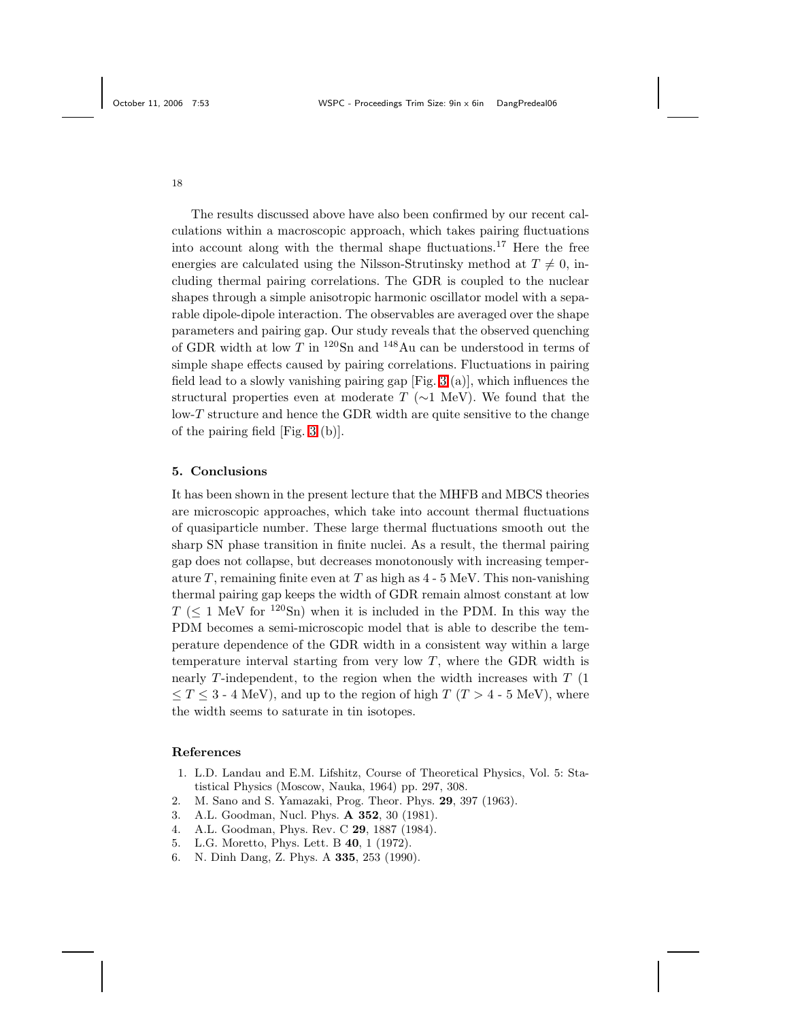The results discussed above have also been confirmed by our recent calculations within a macroscopic approach, which takes pairing fluctuations into account along with the thermal shape fluctuations.<sup>17</sup> Here the free energies are calculated using the Nilsson-Strutinsky method at  $T \neq 0$ , including thermal pairing correlations. The GDR is coupled to the nuclear shapes through a simple anisotropic harmonic oscillator model with a separable dipole-dipole interaction. The observables are averaged over the shape parameters and pairing gap. Our study reveals that the observed quenching of GDR width at low T in  $^{120}$ Sn and  $^{148}$ Au can be understood in terms of simple shape effects caused by pairing correlations. Fluctuations in pairing field lead to a slowly vanishing pairing gap [Fig. [3](#page-16-1) (a)], which influences the structural properties even at moderate  $T$  ( $\sim$ 1 MeV). We found that the low-T structure and hence the GDR width are quite sensitive to the change of the pairing field [Fig. [3](#page-16-1) (b)].

### 5. Conclusions

It has been shown in the present lecture that the MHFB and MBCS theories are microscopic approaches, which take into account thermal fluctuations of quasiparticle number. These large thermal fluctuations smooth out the sharp SN phase transition in finite nuclei. As a result, the thermal pairing gap does not collapse, but decreases monotonously with increasing temperature T, remaining finite even at T as high as  $4 - 5$  MeV. This non-vanishing thermal pairing gap keeps the width of GDR remain almost constant at low  $T \leq 1$  MeV for <sup>120</sup>Sn) when it is included in the PDM. In this way the PDM becomes a semi-microscopic model that is able to describe the temperature dependence of the GDR width in a consistent way within a large temperature interval starting from very low  $T$ , where the GDR width is nearly  $T$ -independent, to the region when the width increases with  $T(1)$  $\leq T \leq 3$  - 4 MeV), and up to the region of high T (T > 4 - 5 MeV), where the width seems to saturate in tin isotopes.

## References

- 1. L.D. Landau and E.M. Lifshitz, Course of Theoretical Physics, Vol. 5: Statistical Physics (Moscow, Nauka, 1964) pp. 297, 308.
- 2. M. Sano and S. Yamazaki, Prog. Theor. Phys. 29, 397 (1963).
- 3. A.L. Goodman, Nucl. Phys. A 352, 30 (1981).
- 4. A.L. Goodman, Phys. Rev. C 29, 1887 (1984).
- 5. L.G. Moretto, Phys. Lett. B 40, 1 (1972).
- 6. N. Dinh Dang, Z. Phys. A 335, 253 (1990).